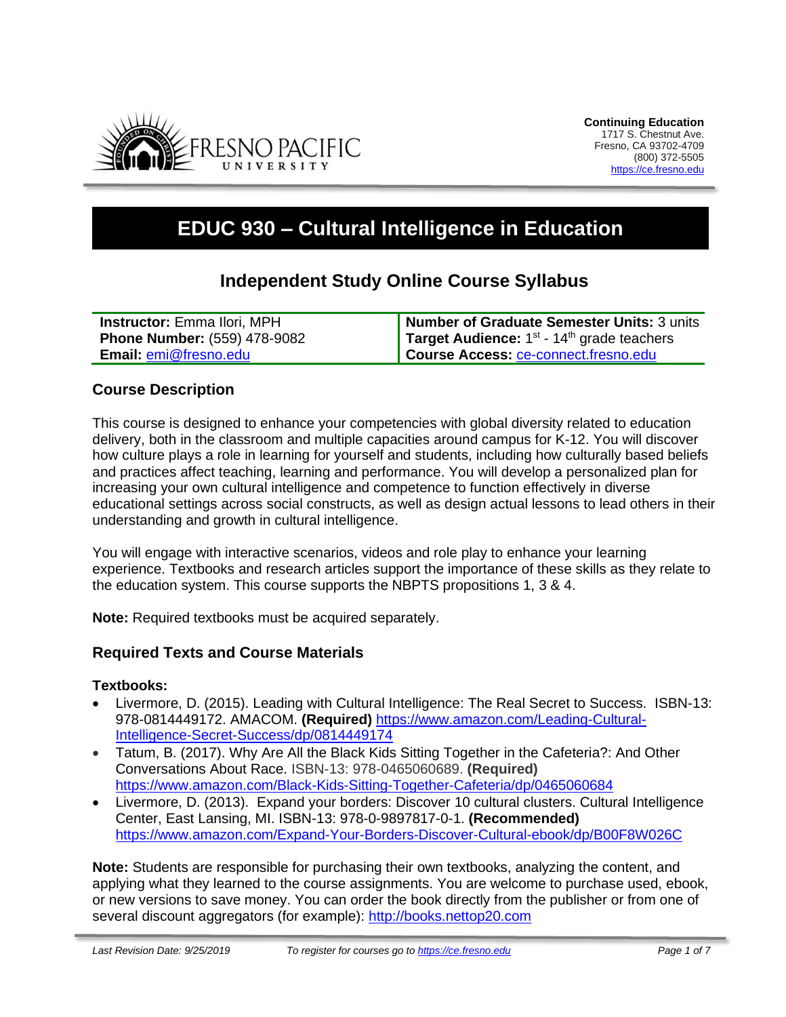

# **EDUC 930 – Cultural Intelligence in Education**

## **Independent Study Online Course Syllabus**

| <b>Instructor:</b> Emma Ilori, MPH  | Number of Graduate Semester Units: 3 units                  |
|-------------------------------------|-------------------------------------------------------------|
| <b>Phone Number: (559) 478-9082</b> | <b>Target Audience:</b> $1^{st}$ - $14^{th}$ grade teachers |
| <b>Email: emi@fresno.edu</b>        | Course Access: ce-connect.fresno.edu                        |

#### **Course Description**

This course is designed to enhance your competencies with global diversity related to education delivery, both in the classroom and multiple capacities around campus for K-12. You will discover how culture plays a role in learning for yourself and students, including how culturally based beliefs and practices affect teaching, learning and performance. You will develop a personalized plan for increasing your own cultural intelligence and competence to function effectively in diverse educational settings across social constructs, as well as design actual lessons to lead others in their understanding and growth in cultural intelligence.

You will engage with interactive scenarios, videos and role play to enhance your learning experience. Textbooks and research articles support the importance of these skills as they relate to the education system. This course supports the NBPTS propositions 1, 3 & 4.

**Note:** Required textbooks must be acquired separately.

#### **Required Texts and Course Materials**

#### **Textbooks:**

- Livermore, D. (2015). Leading with Cultural Intelligence: The Real Secret to Success. ISBN-13: 978-0814449172. AMACOM. **(Required)** [https://www.amazon.com/Leading-Cultural-](https://www.amazon.com/Leading-Cultural-Intelligence-Secret-Success/dp/0814449174)[Intelligence-Secret-Success/dp/0814449174](https://www.amazon.com/Leading-Cultural-Intelligence-Secret-Success/dp/0814449174)
- Tatum, B. (2017). Why Are All the Black Kids Sitting Together in the Cafeteria?: And Other Conversations About Race. ISBN-13: 978-0465060689. **(Required)** <https://www.amazon.com/Black-Kids-Sitting-Together-Cafeteria/dp/0465060684>
- Livermore, D. (2013). Expand your borders: Discover 10 cultural clusters. Cultural Intelligence Center, East Lansing, MI. ISBN-13: 978-0-9897817-0-1. **(Recommended)** <https://www.amazon.com/Expand-Your-Borders-Discover-Cultural-ebook/dp/B00F8W026C>

**Note:** Students are responsible for purchasing their own textbooks, analyzing the content, and applying what they learned to the course assignments. You are welcome to purchase used, ebook, or new versions to save money. You can order the book directly from the publisher or from one of several discount aggregators (for example): [http://books.nettop20.com](http://books.nettop20.com/)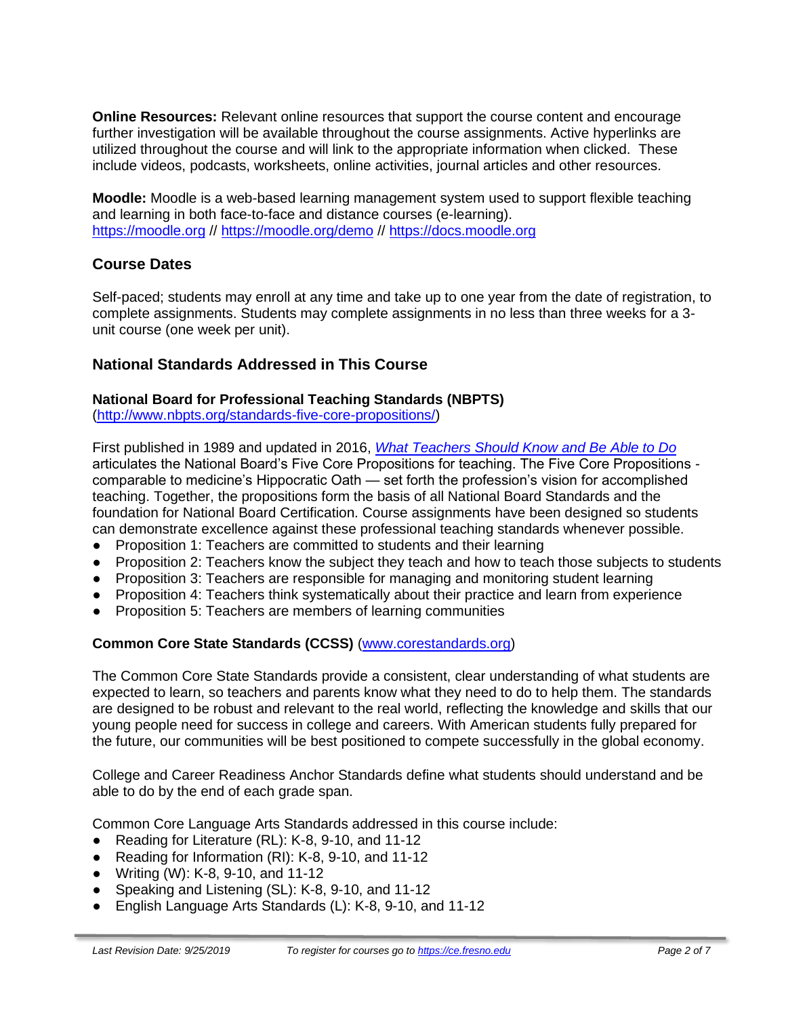**Online Resources:** Relevant online resources that support the course content and encourage further investigation will be available throughout the course assignments. Active hyperlinks are utilized throughout the course and will link to the appropriate information when clicked. These include videos, podcasts, worksheets, online activities, journal articles and other resources.

**Moodle:** Moodle is a web-based learning management system used to support flexible teaching and learning in both face-to-face and distance courses (e-learning). [https://moodle.org](https://moodle.org/) //<https://moodle.org/demo> // [https://docs.moodle.org](https://docs.moodle.org/)

## **Course Dates**

Self-paced; students may enroll at any time and take up to one year from the date of registration, to complete assignments. Students may complete assignments in no less than three weeks for a 3 unit course (one week per unit).

#### **National Standards Addressed in This Course**

#### **National Board for Professional Teaching Standards (NBPTS)**

[\(http://www.nbpts.org/standards-five-core-propositions/\)](http://www.nbpts.org/standards-five-core-propositions/)

First published in 1989 and updated in 2016, *[What Teachers Should Know and Be Able to Do](http://www.accomplishedteacher.org/)* articulates the National Board's Five Core Propositions for teaching. The Five Core Propositions comparable to medicine's Hippocratic Oath — set forth the profession's vision for accomplished teaching. Together, the propositions form the basis of all National Board Standards and the foundation for National Board Certification. Course assignments have been designed so students can demonstrate excellence against these professional teaching standards whenever possible.

- Proposition 1: Teachers are committed to students and their learning
- Proposition 2: Teachers know the subject they teach and how to teach those subjects to students
- Proposition 3: Teachers are responsible for managing and monitoring student learning
- Proposition 4: Teachers think systematically about their practice and learn from experience
- Proposition 5: Teachers are members of learning communities

#### **Common Core State Standards (CCSS)** [\(www.corestandards.org\)](http://www.corestandards.org/)

The Common Core State Standards provide a consistent, clear understanding of what students are expected to learn, so teachers and parents know what they need to do to help them. The standards are designed to be robust and relevant to the real world, reflecting the knowledge and skills that our young people need for success in college and careers. With American students fully prepared for the future, our communities will be best positioned to compete successfully in the global economy.

College and Career Readiness Anchor Standards define what students should understand and be able to do by the end of each grade span.

Common Core Language Arts Standards addressed in this course include:

- Reading for Literature (RL): K-8, 9-10, and 11-12
- Reading for Information (RI): K-8, 9-10, and 11-12
- Writing (W): K-8, 9-10, and 11-12
- Speaking and Listening (SL): K-8, 9-10, and 11-12
- English Language Arts Standards (L): K-8, 9-10, and 11-12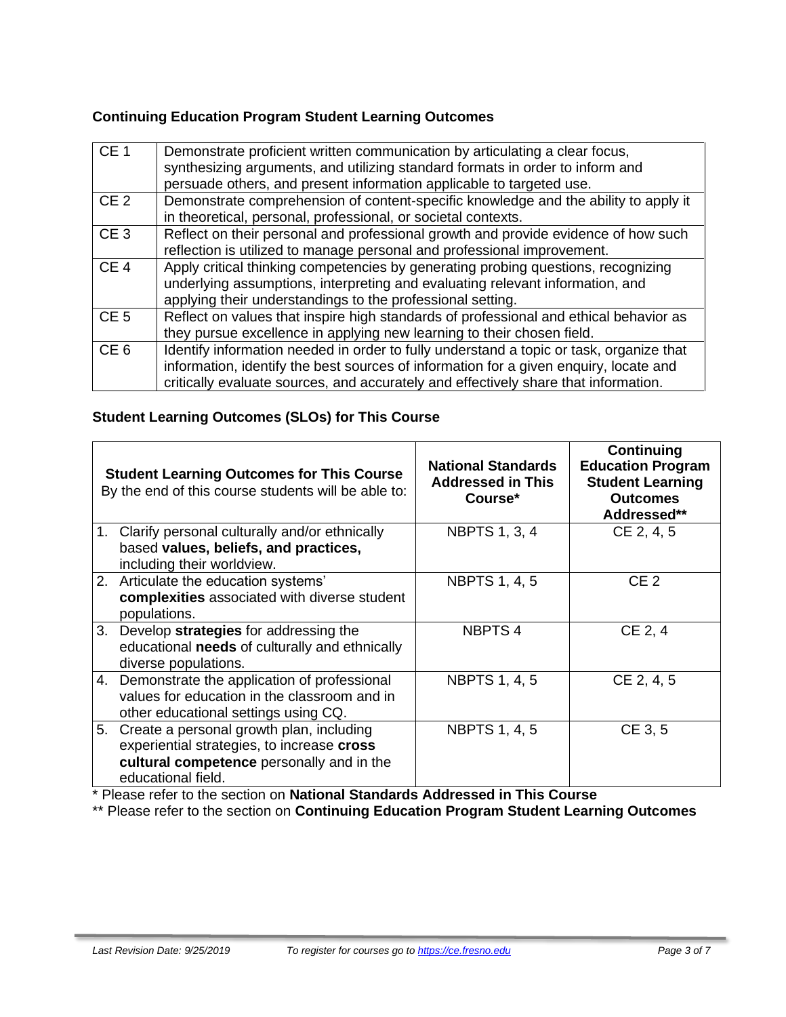#### **Continuing Education Program Student Learning Outcomes**

| CE <sub>1</sub> | Demonstrate proficient written communication by articulating a clear focus,<br>synthesizing arguments, and utilizing standard formats in order to inform and<br>persuade others, and present information applicable to targeted use.                                    |
|-----------------|-------------------------------------------------------------------------------------------------------------------------------------------------------------------------------------------------------------------------------------------------------------------------|
| CE <sub>2</sub> | Demonstrate comprehension of content-specific knowledge and the ability to apply it<br>in theoretical, personal, professional, or societal contexts.                                                                                                                    |
| CE <sub>3</sub> | Reflect on their personal and professional growth and provide evidence of how such<br>reflection is utilized to manage personal and professional improvement.                                                                                                           |
| CE <sub>4</sub> | Apply critical thinking competencies by generating probing questions, recognizing<br>underlying assumptions, interpreting and evaluating relevant information, and<br>applying their understandings to the professional setting.                                        |
| CE <sub>5</sub> | Reflect on values that inspire high standards of professional and ethical behavior as<br>they pursue excellence in applying new learning to their chosen field.                                                                                                         |
| CE <sub>6</sub> | Identify information needed in order to fully understand a topic or task, organize that<br>information, identify the best sources of information for a given enquiry, locate and<br>critically evaluate sources, and accurately and effectively share that information. |

### **Student Learning Outcomes (SLOs) for This Course**

|    | <b>Student Learning Outcomes for This Course</b><br>By the end of this course students will be able to:                                                   | <b>National Standards</b><br><b>Addressed in This</b><br>Course* | Continuing<br><b>Education Program</b><br><b>Student Learning</b><br><b>Outcomes</b><br>Addressed** |
|----|-----------------------------------------------------------------------------------------------------------------------------------------------------------|------------------------------------------------------------------|-----------------------------------------------------------------------------------------------------|
|    | 1. Clarify personal culturally and/or ethnically<br>based values, beliefs, and practices,<br>including their worldview.                                   | <b>NBPTS 1, 3, 4</b>                                             | CE 2, 4, 5                                                                                          |
|    | 2. Articulate the education systems'<br>complexities associated with diverse student<br>populations.                                                      | <b>NBPTS 1, 4, 5</b>                                             | CE <sub>2</sub>                                                                                     |
|    | 3. Develop strategies for addressing the<br>educational needs of culturally and ethnically<br>diverse populations.                                        | <b>NBPTS4</b>                                                    | CE 2, 4                                                                                             |
|    | 4. Demonstrate the application of professional<br>values for education in the classroom and in<br>other educational settings using CQ.                    | <b>NBPTS 1, 4, 5</b>                                             | CE 2, 4, 5                                                                                          |
| 5. | Create a personal growth plan, including<br>experiential strategies, to increase cross<br>cultural competence personally and in the<br>educational field. | <b>NBPTS 1, 4, 5</b>                                             | CE 3, 5                                                                                             |

\* Please refer to the section on **National Standards Addressed in This Course**

\*\* Please refer to the section on **Continuing Education Program Student Learning Outcomes**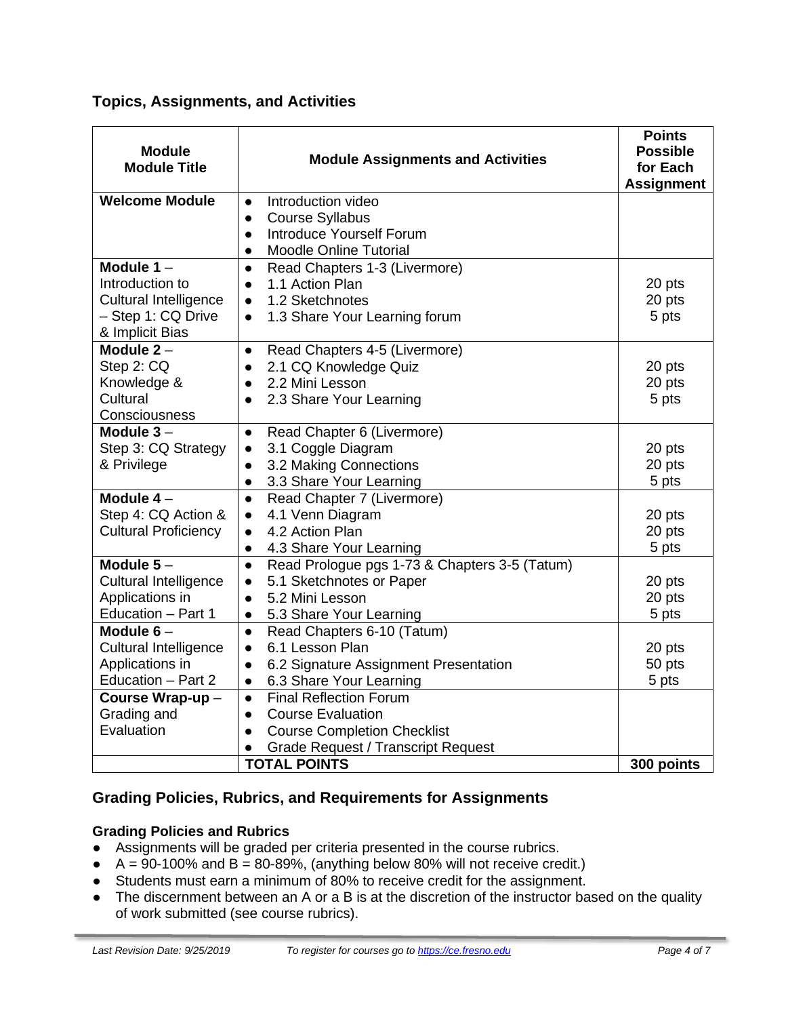## **Topics, Assignments, and Activities**

| <b>Module</b><br><b>Module Title</b>  | <b>Module Assignments and Activities</b>                   | <b>Points</b><br><b>Possible</b><br>for Each<br><b>Assignment</b> |
|---------------------------------------|------------------------------------------------------------|-------------------------------------------------------------------|
| <b>Welcome Module</b>                 | Introduction video<br>$\bullet$                            |                                                                   |
|                                       | <b>Course Syllabus</b><br>$\bullet$                        |                                                                   |
|                                       | <b>Introduce Yourself Forum</b><br>$\bullet$               |                                                                   |
|                                       | <b>Moodle Online Tutorial</b><br>$\bullet$                 |                                                                   |
| Module $1 -$                          | Read Chapters 1-3 (Livermore)<br>$\bullet$                 |                                                                   |
| Introduction to                       | 1.1 Action Plan<br>$\bullet$                               | 20 pts                                                            |
| <b>Cultural Intelligence</b>          | 1.2 Sketchnotes<br>$\bullet$                               | 20 pts                                                            |
| - Step 1: CQ Drive<br>& Implicit Bias | 1.3 Share Your Learning forum<br>$\bullet$                 | 5 pts                                                             |
| Module $2 -$                          | Read Chapters 4-5 (Livermore)<br>$\bullet$                 |                                                                   |
| Step 2: CQ                            | 2.1 CQ Knowledge Quiz<br>$\bullet$                         | 20 pts                                                            |
| Knowledge &                           | 2.2 Mini Lesson<br>$\bullet$                               | 20 pts                                                            |
| Cultural                              | 2.3 Share Your Learning<br>$\bullet$                       | 5 pts                                                             |
| Consciousness                         |                                                            |                                                                   |
| Module $3 -$                          | Read Chapter 6 (Livermore)<br>$\bullet$                    |                                                                   |
| Step 3: CQ Strategy                   | 3.1 Coggle Diagram<br>$\bullet$                            | 20 pts                                                            |
| & Privilege                           | 3.2 Making Connections<br>$\bullet$                        | 20 pts                                                            |
|                                       | 3.3 Share Your Learning<br>$\bullet$                       | 5 pts                                                             |
| Module $4-$                           | Read Chapter 7 (Livermore)<br>$\bullet$                    |                                                                   |
| Step 4: CQ Action &                   | 4.1 Venn Diagram<br>$\bullet$                              | 20 pts                                                            |
| <b>Cultural Proficiency</b>           | 4.2 Action Plan<br>$\bullet$                               | 20 pts                                                            |
|                                       | 4.3 Share Your Learning<br>$\bullet$                       | 5 pts                                                             |
| Module $5-$                           | Read Prologue pgs 1-73 & Chapters 3-5 (Tatum)<br>$\bullet$ |                                                                   |
| <b>Cultural Intelligence</b>          | 5.1 Sketchnotes or Paper<br>$\bullet$                      | 20 pts                                                            |
| Applications in                       | 5.2 Mini Lesson<br>$\bullet$                               | 20 pts                                                            |
| Education - Part 1                    | 5.3 Share Your Learning<br>$\bullet$                       | 5 pts                                                             |
| Module $6-$                           | Read Chapters 6-10 (Tatum)<br>$\bullet$                    |                                                                   |
| <b>Cultural Intelligence</b>          | 6.1 Lesson Plan<br>$\bullet$                               | 20 pts                                                            |
| Applications in                       | 6.2 Signature Assignment Presentation<br>$\bullet$         | 50 pts                                                            |
| Education - Part 2                    | 6.3 Share Your Learning<br>$\bullet$                       | 5 pts                                                             |
| Course Wrap-up-                       | <b>Final Reflection Forum</b><br>$\bullet$                 |                                                                   |
| Grading and                           | <b>Course Evaluation</b><br>$\bullet$                      |                                                                   |
| Evaluation                            | <b>Course Completion Checklist</b><br>$\bullet$            |                                                                   |
|                                       | <b>Grade Request / Transcript Request</b>                  |                                                                   |
|                                       | <b>TOTAL POINTS</b>                                        | 300 points                                                        |

## **Grading Policies, Rubrics, and Requirements for Assignments**

#### **Grading Policies and Rubrics**

- Assignments will be graded per criteria presented in the course rubrics.
- $A = 90-100\%$  and B = 80-89%, (anything below 80% will not receive credit.)
- Students must earn a minimum of 80% to receive credit for the assignment.
- The discernment between an A or a B is at the discretion of the instructor based on the quality of work submitted (see course rubrics).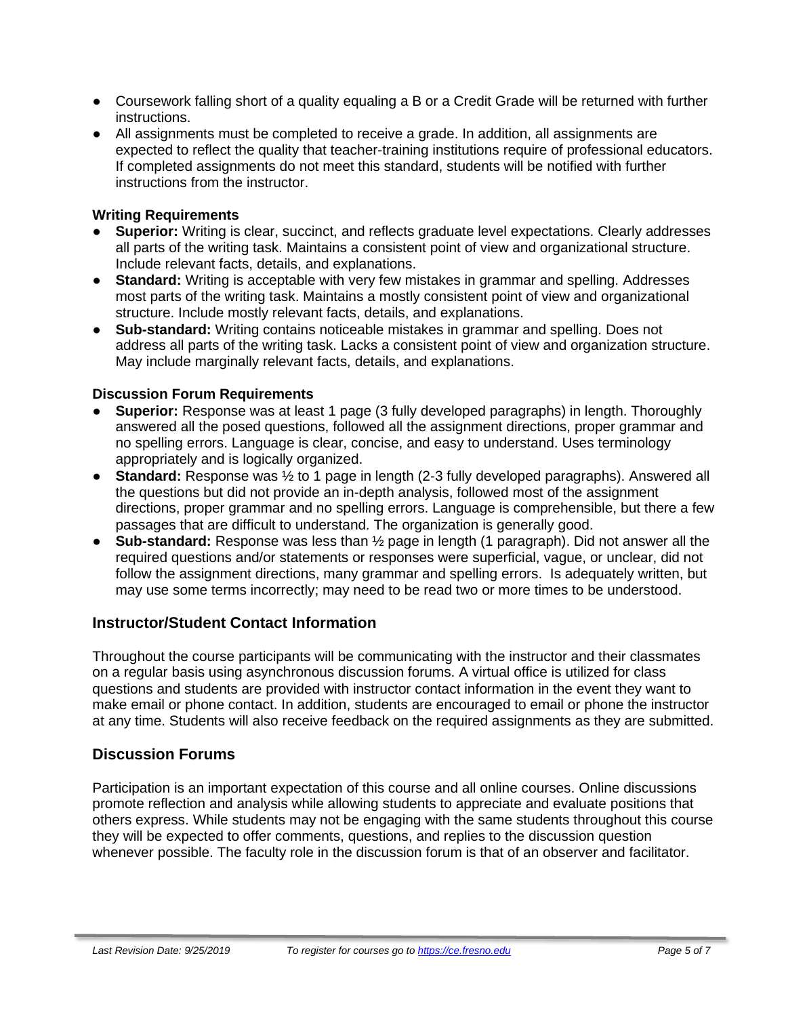- Coursework falling short of a quality equaling a B or a Credit Grade will be returned with further instructions.
- All assignments must be completed to receive a grade. In addition, all assignments are expected to reflect the quality that teacher-training institutions require of professional educators. If completed assignments do not meet this standard, students will be notified with further instructions from the instructor.

#### **Writing Requirements**

- **Superior:** Writing is clear, succinct, and reflects graduate level expectations. Clearly addresses all parts of the writing task. Maintains a consistent point of view and organizational structure. Include relevant facts, details, and explanations.
- **Standard:** Writing is acceptable with very few mistakes in grammar and spelling. Addresses most parts of the writing task. Maintains a mostly consistent point of view and organizational structure. Include mostly relevant facts, details, and explanations.
- **Sub-standard:** Writing contains noticeable mistakes in grammar and spelling. Does not address all parts of the writing task. Lacks a consistent point of view and organization structure. May include marginally relevant facts, details, and explanations.

#### **Discussion Forum Requirements**

- **Superior:** Response was at least 1 page (3 fully developed paragraphs) in length. Thoroughly answered all the posed questions, followed all the assignment directions, proper grammar and no spelling errors. Language is clear, concise, and easy to understand. Uses terminology appropriately and is logically organized.
- **Standard:** Response was ½ to 1 page in length (2-3 fully developed paragraphs). Answered all the questions but did not provide an in-depth analysis, followed most of the assignment directions, proper grammar and no spelling errors. Language is comprehensible, but there a few passages that are difficult to understand. The organization is generally good.
- **Sub-standard:** Response was less than ½ page in length (1 paragraph). Did not answer all the required questions and/or statements or responses were superficial, vague, or unclear, did not follow the assignment directions, many grammar and spelling errors. Is adequately written, but may use some terms incorrectly; may need to be read two or more times to be understood.

#### **Instructor/Student Contact Information**

Throughout the course participants will be communicating with the instructor and their classmates on a regular basis using asynchronous discussion forums. A virtual office is utilized for class questions and students are provided with instructor contact information in the event they want to make email or phone contact. In addition, students are encouraged to email or phone the instructor at any time. Students will also receive feedback on the required assignments as they are submitted.

#### **Discussion Forums**

Participation is an important expectation of this course and all online courses. Online discussions promote reflection and analysis while allowing students to appreciate and evaluate positions that others express. While students may not be engaging with the same students throughout this course they will be expected to offer comments, questions, and replies to the discussion question whenever possible. The faculty role in the discussion forum is that of an observer and facilitator.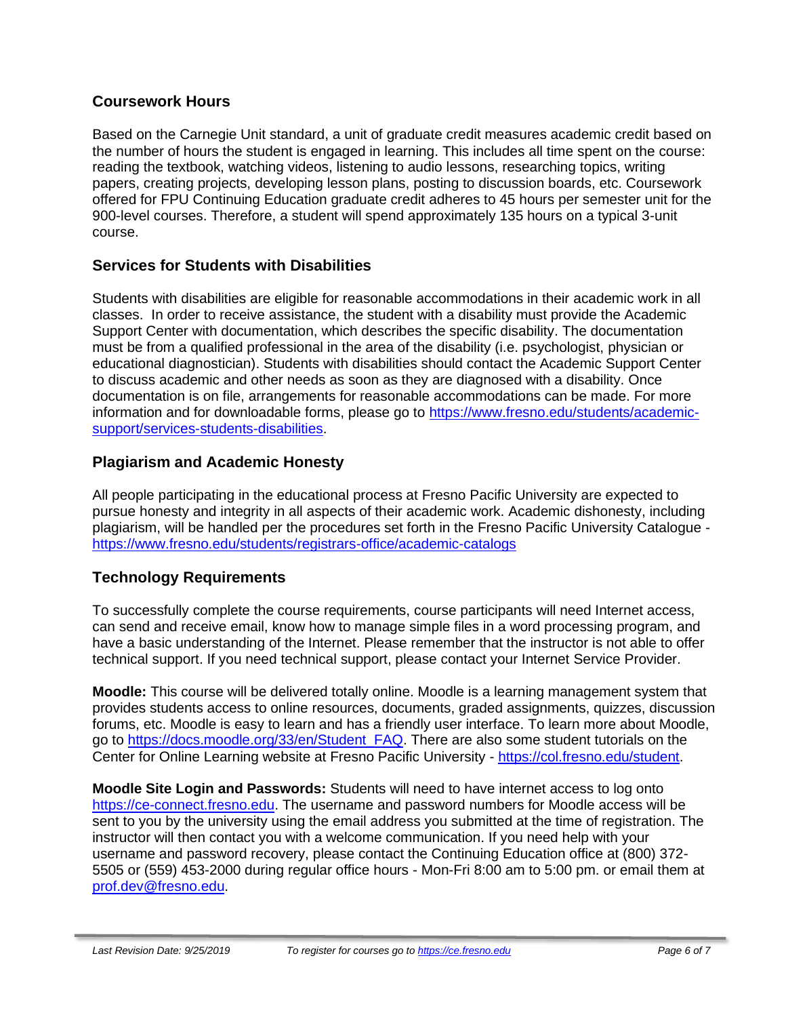#### **Coursework Hours**

Based on the Carnegie Unit standard, a unit of graduate credit measures academic credit based on the number of hours the student is engaged in learning. This includes all time spent on the course: reading the textbook, watching videos, listening to audio lessons, researching topics, writing papers, creating projects, developing lesson plans, posting to discussion boards, etc. Coursework offered for FPU Continuing Education graduate credit adheres to 45 hours per semester unit for the 900-level courses. Therefore, a student will spend approximately 135 hours on a typical 3-unit course.

### **Services for Students with Disabilities**

Students with disabilities are eligible for reasonable accommodations in their academic work in all classes. In order to receive assistance, the student with a disability must provide the Academic Support Center with documentation, which describes the specific disability. The documentation must be from a qualified professional in the area of the disability (i.e. psychologist, physician or educational diagnostician). Students with disabilities should contact the Academic Support Center to discuss academic and other needs as soon as they are diagnosed with a disability. Once documentation is on file, arrangements for reasonable accommodations can be made. For more information and for downloadable forms, please go to [https://www.fresno.edu/students/academic](https://www.fresno.edu/students/academic-support/services-students-disabilities)[support/services-students-disabilities.](https://www.fresno.edu/students/academic-support/services-students-disabilities)

### **Plagiarism and Academic Honesty**

All people participating in the educational process at Fresno Pacific University are expected to pursue honesty and integrity in all aspects of their academic work. Academic dishonesty, including plagiarism, will be handled per the procedures set forth in the Fresno Pacific University Catalogue <https://www.fresno.edu/students/registrars-office/academic-catalogs>

## **Technology Requirements**

To successfully complete the course requirements, course participants will need Internet access, can send and receive email, know how to manage simple files in a word processing program, and have a basic understanding of the Internet. Please remember that the instructor is not able to offer technical support. If you need technical support, please contact your Internet Service Provider.

**Moodle:** This course will be delivered totally online. Moodle is a learning management system that provides students access to online resources, documents, graded assignments, quizzes, discussion forums, etc. Moodle is easy to learn and has a friendly user interface. To learn more about Moodle, go to [https://docs.moodle.org/33/en/Student\\_FAQ.](https://docs.moodle.org/33/en/Student_FAQ) There are also some student tutorials on the Center for Online Learning website at Fresno Pacific University - [https://col.fresno.edu/student.](https://col.fresno.edu/student)

**Moodle Site Login and Passwords:** Students will need to have internet access to log onto [https://ce-connect.fresno.edu.](https://ce-connect.fresno.edu/) The username and password numbers for Moodle access will be sent to you by the university using the email address you submitted at the time of registration. The instructor will then contact you with a welcome communication. If you need help with your username and password recovery, please contact the Continuing Education office at (800) 372- 5505 or (559) 453-2000 during regular office hours - Mon-Fri 8:00 am to 5:00 pm. or email them at [prof.dev@fresno.edu.](mailto:prof.dev@fresno.edu)